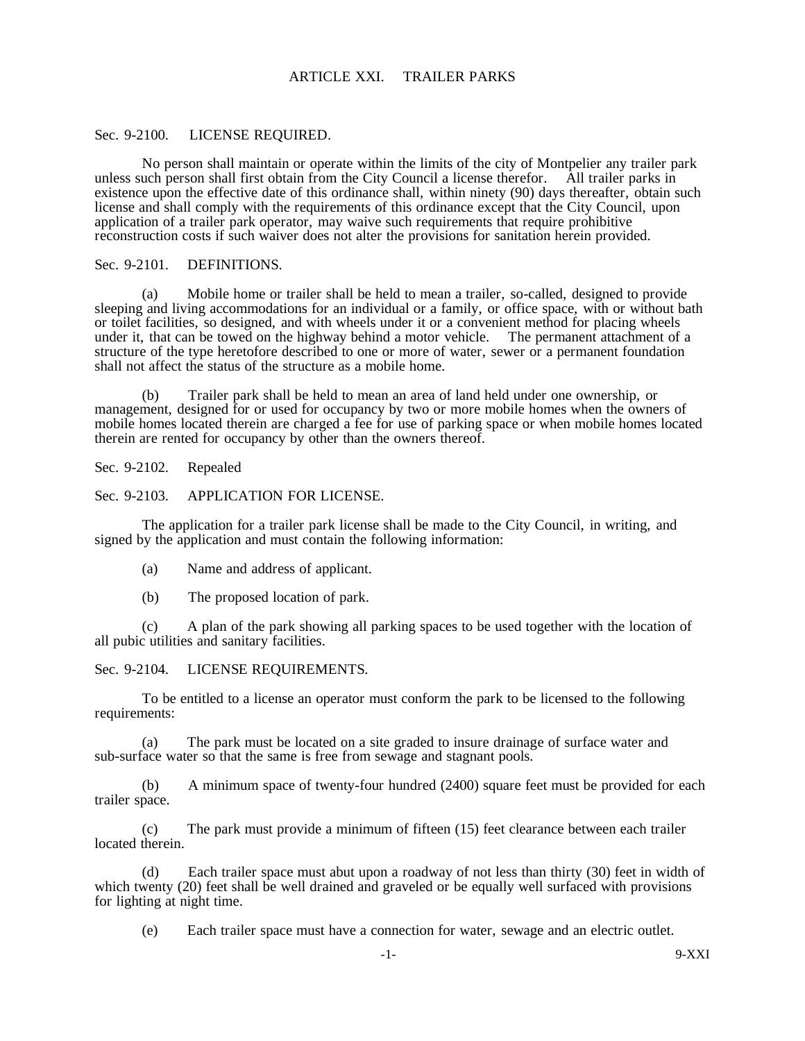## ARTICLE XXI. TRAILER PARKS

### Sec. 9-2100. LICENSE REQUIRED.

No person shall maintain or operate within the limits of the city of Montpelier any trailer park unless such person shall first obtain from the City Council a license therefor. All trailer parks in existence upon the effective date of this ordinance shall, within ninety (90) days thereafter, obtain such license and shall comply with the requirements of this ordinance except that the City Council, upon application of a trailer park operator, may waive such requirements that require prohibitive reconstruction costs if such waiver does not alter the provisions for sanitation herein provided.

# Sec. 9-2101. DEFINITIONS.

(a) Mobile home or trailer shall be held to mean a trailer, so-called, designed to provide sleeping and living accommodations for an individual or a family, or office space, with or without bath or toilet facilities, so designed, and with wheels under it or a convenient method for placing wheels under it, that can be towed on the highway behind a motor vehicle. The permanent attachment of a structure of the type heretofore described to one or more of water, sewer or a permanent foundation shall not affect the status of the structure as a mobile home.

(b) Trailer park shall be held to mean an area of land held under one ownership, or management, designed for or used for occupancy by two or more mobile homes when the owners of mobile homes located therein are charged a fee for use of parking space or when mobile homes located therein are rented for occupancy by other than the owners thereof.

Sec. 9-2102. Repealed

### Sec. 9-2103. APPLICATION FOR LICENSE.

The application for a trailer park license shall be made to the City Council, in writing, and signed by the application and must contain the following information:

- (a) Name and address of applicant.
- (b) The proposed location of park.

(c) A plan of the park showing all parking spaces to be used together with the location of all pubic utilities and sanitary facilities.

### Sec. 9-2104. LICENSE REQUIREMENTS.

To be entitled to a license an operator must conform the park to be licensed to the following requirements:

(a) The park must be located on a site graded to insure drainage of surface water and sub-surface water so that the same is free from sewage and stagnant pools.

(b) A minimum space of twenty-four hundred (2400) square feet must be provided for each trailer space.

(c) The park must provide a minimum of fifteen (15) feet clearance between each trailer located therein.

(d) Each trailer space must abut upon a roadway of not less than thirty (30) feet in width of which twenty (20) feet shall be well drained and graveled or be equally well surfaced with provisions for lighting at night time.

(e) Each trailer space must have a connection for water, sewage and an electric outlet.